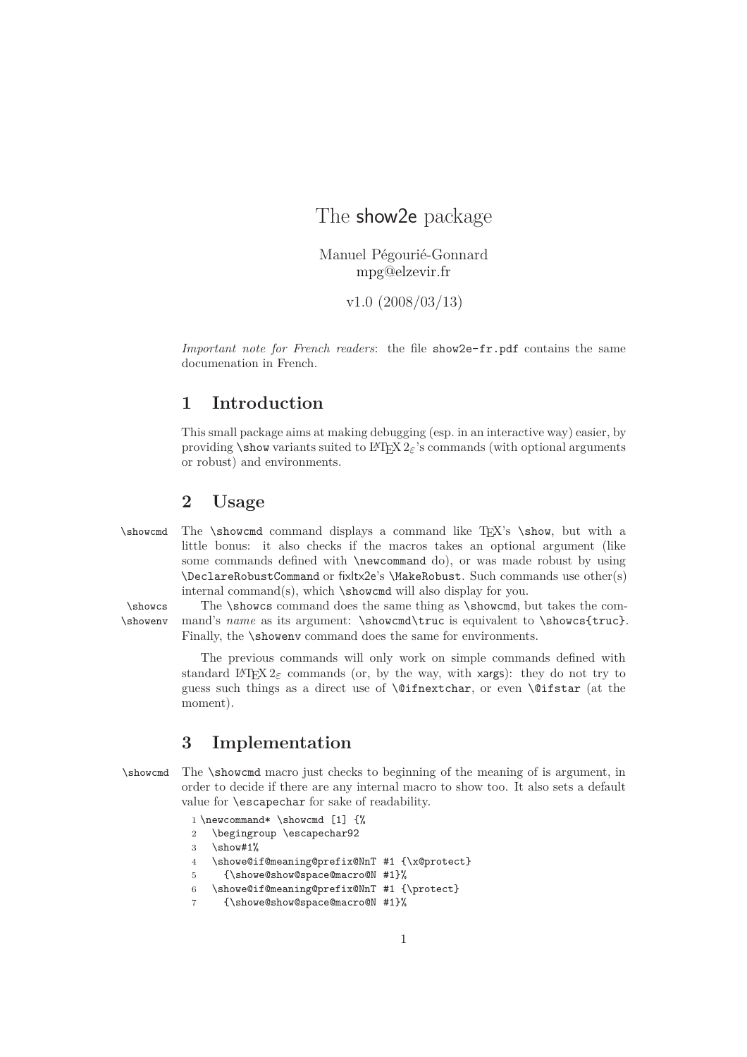## The show2e package

Manuel Pégourié-Gonnard [mpg@elzevir.fr](mailto:mpg@elzevir.fr)

v1.0 (2008/03/13)

*Important note for French readers*: the file show2e-fr.pdf contains the same documenation in French.

## **1 Introduction**

This small package aims at making debugging (esp. in an interactive way) easier, by providing \show variants suited to L<sup>A</sup>TEX 2*ε*'s commands (with optional arguments or robust) and environments.

## **2 Usage**

\showcmd The \showcmd command displays a command like TEX's \show, but with a little bonus: it also checks if the macros takes an optional argument (like some commands defined with \newcommand do), or was made robust by using \DeclareRobustCommand or fixltx2e's \MakeRobust. Such commands use other(s) internal command(s), which \showcmd will also display for you.

\showcs The \showcs command does the same thing as \showcmd, but takes the com- \showenv mand's *name* as its argument: \showcmd\truc is equivalent to \showcs{truc}. Finally, the **\showenv** command does the same for environments.

> The previous commands will only work on simple commands defined with standard L<sup>A</sup>T<sub>E</sub>X 2<sub> $\varepsilon$ </sub> commands (or, by the way, with xargs): they do not try to guess such things as a direct use of \@ifnextchar, or even \@ifstar (at the moment).

## **3 Implementation**

\showcmd The \showcmd macro just checks to beginning of the meaning of is argument, in order to decide if there are any internal macro to show too. It also sets a default value for \escapechar for sake of readability.

```
1 \newcommand* \showcmd [1] {%
2 \begingroup \escapechar92
3 \show#1%
4 \showe@if@meaning@prefix@NnT #1 {\x@protect}
5 {\showe@show@space@macro@N #1}%
6 \showe@if@meaning@prefix@NnT #1 {\protect}
7 {\showe@show@space@macro@N #1}%
```